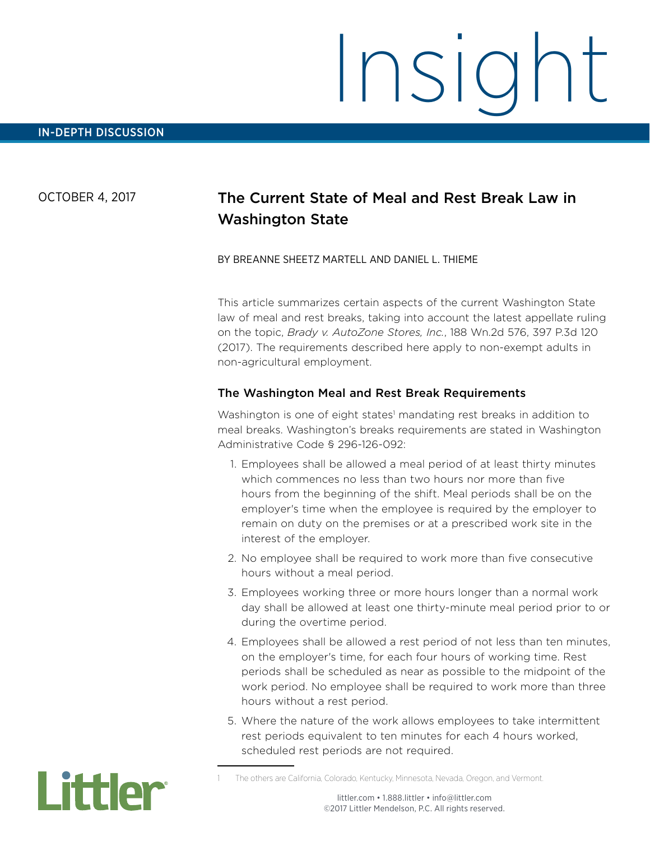#### OCTOBER 4, 2017

# The Current State of Meal and Rest Break Law in Washington State

#### BY BREANNE SHEETZ MARTELL AND DANIEL L. THIEME

This article summarizes certain aspects of the current Washington State law of meal and rest breaks, taking into account the latest appellate ruling on the topic, *Brady v. AutoZone Stores, Inc.*, 188 Wn.2d 576, 397 P.3d 120 (2017). The requirements described here apply to non-exempt adults in non-agricultural employment.

#### The Washington Meal and Rest Break Requirements

Washington is one of eight states<sup>1</sup> mandating rest breaks in addition to meal breaks. Washington's breaks requirements are stated in Washington Administrative Code § 296-126-092:

- 1. Employees shall be allowed a meal period of at least thirty minutes which commences no less than two hours nor more than five hours from the beginning of the shift. Meal periods shall be on the employer's time when the employee is required by the employer to remain on duty on the premises or at a prescribed work site in the interest of the employer.
- 2. No employee shall be required to work more than five consecutive hours without a meal period.
- 3. Employees working three or more hours longer than a normal work day shall be allowed at least one thirty-minute meal period prior to or during the overtime period.
- 4. Employees shall be allowed a rest period of not less than ten minutes, on the employer's time, for each four hours of working time. Rest periods shall be scheduled as near as possible to the midpoint of the work period. No employee shall be required to work more than three hours without a rest period.
- 5. Where the nature of the work allows employees to take intermittent rest periods equivalent to ten minutes for each 4 hours worked, scheduled rest periods are not required.



The others are California, Colorado, Kentucky, Minnesota, Nevada, Oregon, and Vermont.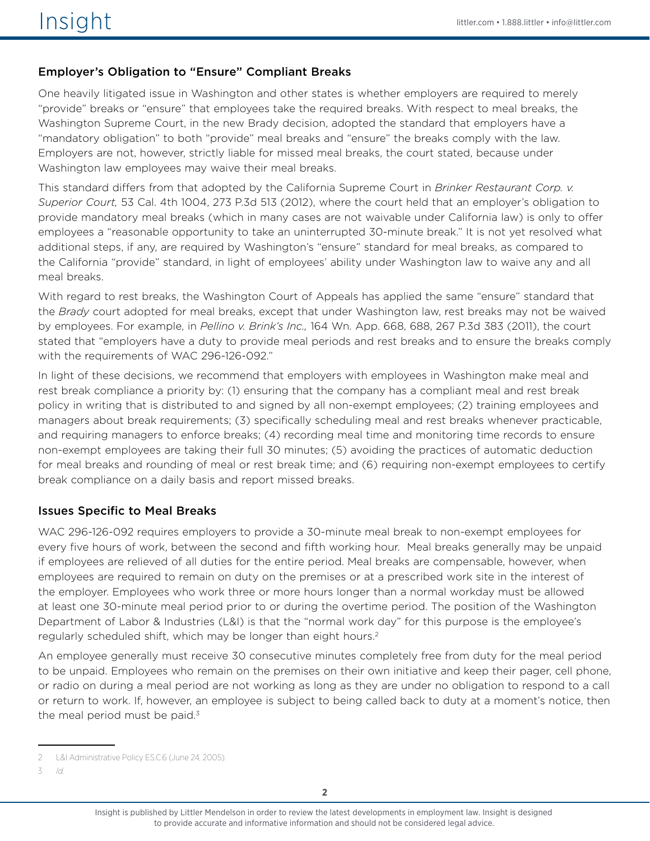# Employer's Obligation to "Ensure" Compliant Breaks

One heavily litigated issue in Washington and other states is whether employers are required to merely "provide" breaks or "ensure" that employees take the required breaks. With respect to meal breaks, the Washington Supreme Court, in the new Brady decision, adopted the standard that employers have a "mandatory obligation" to both "provide" meal breaks and "ensure" the breaks comply with the law. Employers are not, however, strictly liable for missed meal breaks, the court stated, because under Washington law employees may waive their meal breaks.

This standard differs from that adopted by the California Supreme Court in *Brinker Restaurant Corp. v. Superior Court,* 53 Cal. 4th 1004, 273 P.3d 513 (2012), where the court held that an employer's obligation to provide mandatory meal breaks (which in many cases are not waivable under California law) is only to offer employees a "reasonable opportunity to take an uninterrupted 30-minute break." It is not yet resolved what additional steps, if any, are required by Washington's "ensure" standard for meal breaks, as compared to the California "provide" standard, in light of employees' ability under Washington law to waive any and all meal breaks.

With regard to rest breaks, the Washington Court of Appeals has applied the same "ensure" standard that the *Brady* court adopted for meal breaks, except that under Washington law, rest breaks may not be waived by employees. For example, in *Pellino v. Brink's Inc.,* 164 Wn. App. 668, 688, 267 P.3d 383 (2011), the court stated that "employers have a duty to provide meal periods and rest breaks and to ensure the breaks comply with the requirements of WAC 296-126-092."

In light of these decisions, we recommend that employers with employees in Washington make meal and rest break compliance a priority by: (1) ensuring that the company has a compliant meal and rest break policy in writing that is distributed to and signed by all non-exempt employees; (2) training employees and managers about break requirements; (3) specifically scheduling meal and rest breaks whenever practicable, and requiring managers to enforce breaks; (4) recording meal time and monitoring time records to ensure non-exempt employees are taking their full 30 minutes; (5) avoiding the practices of automatic deduction for meal breaks and rounding of meal or rest break time; and (6) requiring non-exempt employees to certify break compliance on a daily basis and report missed breaks.

# Issues Specific to Meal Breaks

WAC 296-126-092 requires employers to provide a 30-minute meal break to non-exempt employees for every five hours of work, between the second and fifth working hour. Meal breaks generally may be unpaid if employees are relieved of all duties for the entire period. Meal breaks are compensable, however, when employees are required to remain on duty on the premises or at a prescribed work site in the interest of the employer. Employees who work three or more hours longer than a normal workday must be allowed at least one 30-minute meal period prior to or during the overtime period. The position of the Washington Department of Labor & Industries (L&I) is that the "normal work day" for this purpose is the employee's regularly scheduled shift, which may be longer than eight hours.<sup>2</sup>

An employee generally must receive 30 consecutive minutes completely free from duty for the meal period to be unpaid. Employees who remain on the premises on their own initiative and keep their pager, cell phone, or radio on during a meal period are not working as long as they are under no obligation to respond to a call or return to work. If, however, an employee is subject to being called back to duty at a moment's notice, then the meal period must be paid. $3$ 

<sup>2</sup> L&I Administrative Policy ES.C.6 (June 24, 2005).

<sup>3</sup> *Id.*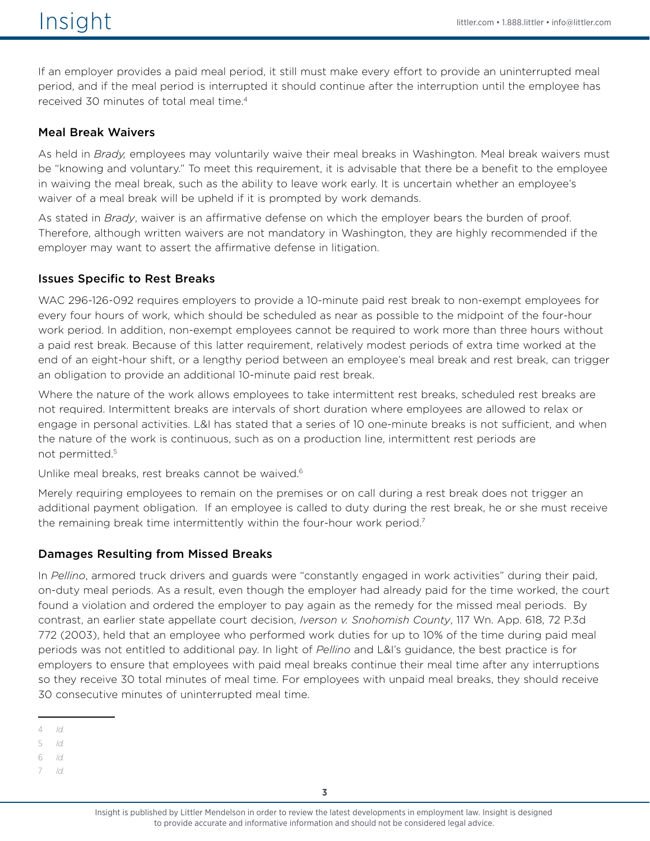If an employer provides a paid meal period, it still must make every effort to provide an uninterrupted meal period, and if the meal period is interrupted it should continue after the interruption until the employee has received 30 minutes of total meal time.4

### Meal Break Waivers

As held in *Brady,* employees may voluntarily waive their meal breaks in Washington. Meal break waivers must be "knowing and voluntary." To meet this requirement, it is advisable that there be a benefit to the employee in waiving the meal break, such as the ability to leave work early. It is uncertain whether an employee's waiver of a meal break will be upheld if it is prompted by work demands.

As stated in *Brady*, waiver is an affirmative defense on which the employer bears the burden of proof. Therefore, although written waivers are not mandatory in Washington, they are highly recommended if the employer may want to assert the affirmative defense in litigation.

### Issues Specific to Rest Breaks

WAC 296-126-092 requires employers to provide a 10-minute paid rest break to non-exempt employees for every four hours of work, which should be scheduled as near as possible to the midpoint of the four-hour work period. In addition, non-exempt employees cannot be required to work more than three hours without a paid rest break. Because of this latter requirement, relatively modest periods of extra time worked at the end of an eight-hour shift, or a lengthy period between an employee's meal break and rest break, can trigger an obligation to provide an additional 10-minute paid rest break.

Where the nature of the work allows employees to take intermittent rest breaks, scheduled rest breaks are not required. Intermittent breaks are intervals of short duration where employees are allowed to relax or engage in personal activities. L&I has stated that a series of 10 one-minute breaks is not sufficient, and when the nature of the work is continuous, such as on a production line, intermittent rest periods are not permitted.5

Unlike meal breaks, rest breaks cannot be waived.6

Merely requiring employees to remain on the premises or on call during a rest break does not trigger an additional payment obligation. If an employee is called to duty during the rest break, he or she must receive the remaining break time intermittently within the four-hour work period.<sup>7</sup>

# Damages Resulting from Missed Breaks

In *Pellino*, armored truck drivers and guards were "constantly engaged in work activities" during their paid, on-duty meal periods. As a result, even though the employer had already paid for the time worked, the court found a violation and ordered the employer to pay again as the remedy for the missed meal periods. By contrast, an earlier state appellate court decision, *Iverson v. Snohomish County*, 117 Wn. App. 618, 72 P.3d 772 (2003), held that an employee who performed work duties for up to 10% of the time during paid meal periods was not entitled to additional pay. In light of *Pellino* and L&I's guidance, the best practice is for employers to ensure that employees with paid meal breaks continue their meal time after any interruptions so they receive 30 total minutes of meal time. For employees with unpaid meal breaks, they should receive 30 consecutive minutes of uninterrupted meal time.

5 *Id.*

6 *Id.*

7 *Id.*

<sup>4</sup> *Id.*